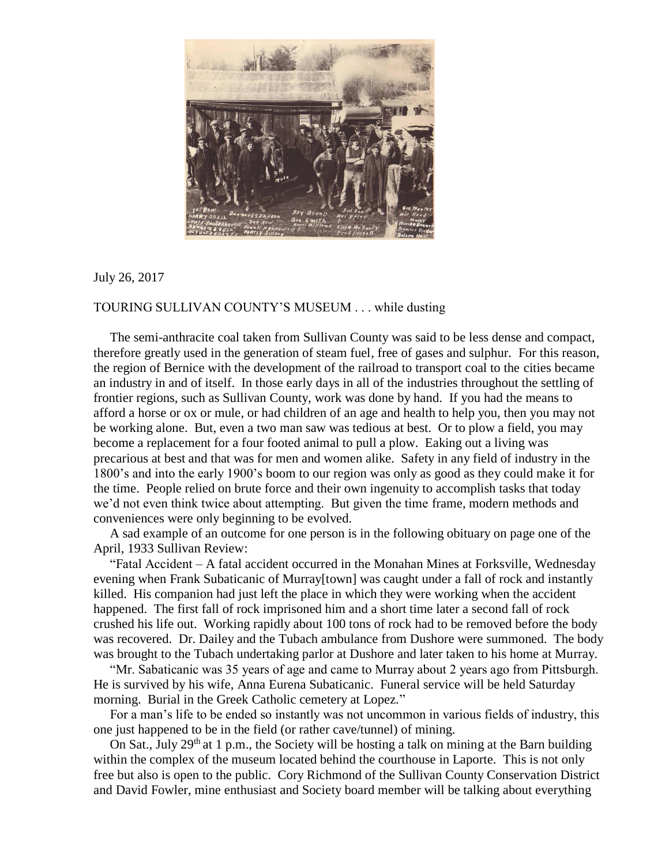

## July 26, 2017

## TOURING SULLIVAN COUNTY'S MUSEUM . . . while dusting

 The semi-anthracite coal taken from Sullivan County was said to be less dense and compact, therefore greatly used in the generation of steam fuel, free of gases and sulphur. For this reason, the region of Bernice with the development of the railroad to transport coal to the cities became an industry in and of itself. In those early days in all of the industries throughout the settling of frontier regions, such as Sullivan County, work was done by hand. If you had the means to afford a horse or ox or mule, or had children of an age and health to help you, then you may not be working alone. But, even a two man saw was tedious at best. Or to plow a field, you may become a replacement for a four footed animal to pull a plow. Eaking out a living was precarious at best and that was for men and women alike. Safety in any field of industry in the 1800's and into the early 1900's boom to our region was only as good as they could make it for the time. People relied on brute force and their own ingenuity to accomplish tasks that today we'd not even think twice about attempting. But given the time frame, modern methods and conveniences were only beginning to be evolved.

 A sad example of an outcome for one person is in the following obituary on page one of the April, 1933 Sullivan Review:

 "Fatal Accident – A fatal accident occurred in the Monahan Mines at Forksville, Wednesday evening when Frank Subaticanic of Murray[town] was caught under a fall of rock and instantly killed. His companion had just left the place in which they were working when the accident happened. The first fall of rock imprisoned him and a short time later a second fall of rock crushed his life out. Working rapidly about 100 tons of rock had to be removed before the body was recovered. Dr. Dailey and the Tubach ambulance from Dushore were summoned. The body was brought to the Tubach undertaking parlor at Dushore and later taken to his home at Murray.

 "Mr. Sabaticanic was 35 years of age and came to Murray about 2 years ago from Pittsburgh. He is survived by his wife, Anna Eurena Subaticanic. Funeral service will be held Saturday morning. Burial in the Greek Catholic cemetery at Lopez."

 For a man's life to be ended so instantly was not uncommon in various fields of industry, this one just happened to be in the field (or rather cave/tunnel) of mining.

On Sat., July 29<sup>th</sup> at 1 p.m., the Society will be hosting a talk on mining at the Barn building within the complex of the museum located behind the courthouse in Laporte. This is not only free but also is open to the public. Cory Richmond of the Sullivan County Conservation District and David Fowler, mine enthusiast and Society board member will be talking about everything